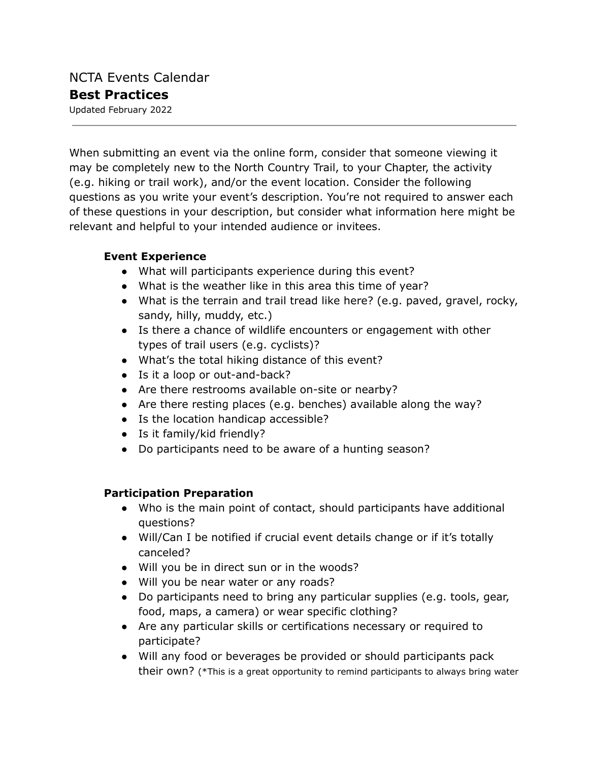When submitting an event via the online form, consider that someone viewing it may be completely new to the North Country Trail, to your Chapter, the activity (e.g. hiking or trail work), and/or the event location. Consider the following questions as you write your event's description. You're not required to answer each of these questions in your description, but consider what information here might be relevant and helpful to your intended audience or invitees.

## **Event Experience**

- What will participants experience during this event?
- What is the weather like in this area this time of year?
- What is the terrain and trail tread like here? (e.g. paved, gravel, rocky, sandy, hilly, muddy, etc.)
- Is there a chance of wildlife encounters or engagement with other types of trail users (e.g. cyclists)?
- What's the total hiking distance of this event?
- Is it a loop or out-and-back?
- Are there restrooms available on-site or nearby?
- Are there resting places (e.g. benches) available along the way?
- Is the location handicap accessible?
- Is it family/kid friendly?
- Do participants need to be aware of a hunting season?

## **Participation Preparation**

- Who is the main point of contact, should participants have additional questions?
- Will/Can I be notified if crucial event details change or if it's totally canceled?
- Will you be in direct sun or in the woods?
- Will you be near water or any roads?
- Do participants need to bring any particular supplies (e.g. tools, gear, food, maps, a camera) or wear specific clothing?
- Are any particular skills or certifications necessary or required to participate?
- Will any food or beverages be provided or should participants pack their own? (\*This is a great opportunity to remind participants to always bring water